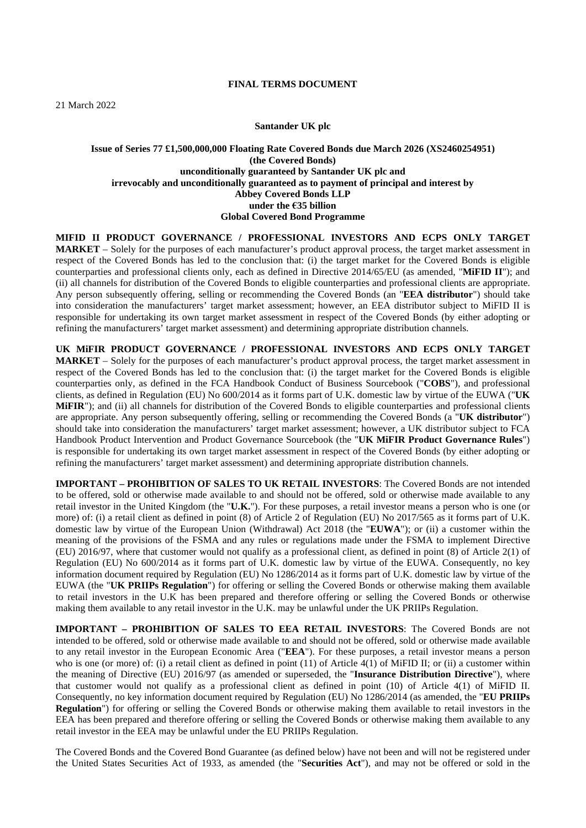### **FINAL TERMS DOCUMENT**

#### **Santander UK plc**

# **Issue of Series 77 £1,500,000,000 Floating Rate Covered Bonds due March 2026 (XS2460254951) (the Covered Bonds) unconditionally guaranteed by Santander UK plc and irrevocably and unconditionally guaranteed as to payment of principal and interest by Abbey Covered Bonds LLP under the €35 billion Global Covered Bond Programme**

**MIFID II PRODUCT GOVERNANCE / PROFESSIONAL INVESTORS AND ECPS ONLY TARGET MARKET** – Solely for the purposes of each manufacturer's product approval process, the target market assessment in respect of the Covered Bonds has led to the conclusion that: (i) the target market for the Covered Bonds is eligible counterparties and professional clients only, each as defined in Directive 2014/65/EU (as amended, "**MiFID II**"); and (ii) all channels for distribution of the Covered Bonds to eligible counterparties and professional clients are appropriate. Any person subsequently offering, selling or recommending the Covered Bonds (an "**EEA distributor**") should take into consideration the manufacturers' target market assessment; however, an EEA distributor subject to MiFID II is responsible for undertaking its own target market assessment in respect of the Covered Bonds (by either adopting or refining the manufacturers' target market assessment) and determining appropriate distribution channels.

**UK MiFIR PRODUCT GOVERNANCE / PROFESSIONAL INVESTORS AND ECPS ONLY TARGET MARKET** – Solely for the purposes of each manufacturer's product approval process, the target market assessment in respect of the Covered Bonds has led to the conclusion that: (i) the target market for the Covered Bonds is eligible counterparties only, as defined in the FCA Handbook Conduct of Business Sourcebook ("**COBS**"), and professional clients, as defined in Regulation (EU) No 600/2014 as it forms part of U.K. domestic law by virtue of the EUWA ("**UK MIFIR**"); and (ii) all channels for distribution of the Covered Bonds to eligible counterparties and professional clients are appropriate. Any person subsequently offering, selling or recommending the Covered Bonds (a "**UK distributor**") should take into consideration the manufacturers' target market assessment; however, a UK distributor subject to FCA Handbook Product Intervention and Product Governance Sourcebook (the "**UK MiFIR Product Governance Rules**") is responsible for undertaking its own target market assessment in respect of the Covered Bonds (by either adopting or refining the manufacturers' target market assessment) and determining appropriate distribution channels.

**IMPORTANT – PROHIBITION OF SALES TO UK RETAIL INVESTORS**: The Covered Bonds are not intended to be offered, sold or otherwise made available to and should not be offered, sold or otherwise made available to any retail investor in the United Kingdom (the "**U.K.**"). For these purposes, a retail investor means a person who is one (or more) of: (i) a retail client as defined in point (8) of Article 2 of Regulation (EU) No 2017/565 as it forms part of U.K. domestic law by virtue of the European Union (Withdrawal) Act 2018 (the "**EUWA**"); or (ii) a customer within the meaning of the provisions of the FSMA and any rules or regulations made under the FSMA to implement Directive (EU) 2016/97, where that customer would not qualify as a professional client, as defined in point (8) of Article 2(1) of Regulation (EU) No 600/2014 as it forms part of U.K. domestic law by virtue of the EUWA. Consequently, no key information document required by Regulation (EU) No 1286/2014 as it forms part of U.K. domestic law by virtue of the EUWA (the "**UK PRIIPs Regulation**") for offering or selling the Covered Bonds or otherwise making them available to retail investors in the U.K has been prepared and therefore offering or selling the Covered Bonds or otherwise making them available to any retail investor in the U.K. may be unlawful under the UK PRIIPs Regulation.

**IMPORTANT – PROHIBITION OF SALES TO EEA RETAIL INVESTORS**: The Covered Bonds are not intended to be offered, sold or otherwise made available to and should not be offered, sold or otherwise made available to any retail investor in the European Economic Area ("**EEA**"). For these purposes, a retail investor means a person who is one (or more) of: (i) a retail client as defined in point (11) of Article 4(1) of MiFID II; or (ii) a customer within the meaning of Directive (EU) 2016/97 (as amended or superseded, the "**Insurance Distribution Directive**"), where that customer would not qualify as a professional client as defined in point (10) of Article 4(1) of MiFID II. Consequently, no key information document required by Regulation (EU) No 1286/2014 (as amended, the "**EU PRIIPs Regulation**") for offering or selling the Covered Bonds or otherwise making them available to retail investors in the EEA has been prepared and therefore offering or selling the Covered Bonds or otherwise making them available to any retail investor in the EEA may be unlawful under the EU PRIIPs Regulation.

The Covered Bonds and the Covered Bond Guarantee (as defined below) have not been and will not be registered under the United States Securities Act of 1933, as amended (the "**Securities Act**"), and may not be offered or sold in the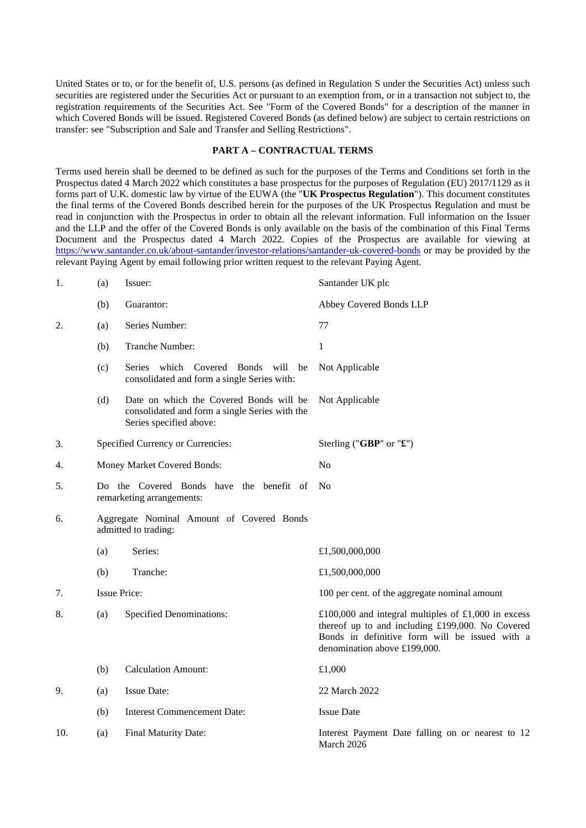United States or to, or for the benefit of, U.S. persons (as defined in Regulation S under the Securities Act) unless such securities are registered under the Securities Act or pursuant to an exemption from, or in a transaction not subject to, the registration requirements of the Securities Act. See "Form of the Covered Bonds" for a description of the manner in which Covered Bonds will be issued. Registered Covered Bonds (as defined below) are subject to certain restrictions on transfer: see "Subscription and Sale and Transfer and Selling Restrictions".

#### **PART A – CONTRACTUAL TERMS**

Terms used herein shall be deemed to be defined as such for the purposes of the Terms and Conditions set forth in the Prospectus dated 4 March 2022 which constitutes a base prospectus for the purposes of Regulation (EU) 2017/1129 as it forms part of U.K. domestic law by virtue of the EUWA (the "**UK Prospectus Regulation**"). This document constitutes the final terms of the Covered Bonds described herein for the purposes of the UK Prospectus Regulation and must be read in conjunction with the Prospectus in order to obtain all the relevant information. Full information on the Issuer and the LLP and the offer of the Covered Bonds is only available on the basis of the combination of this Final Terms Document and the Prospectus dated 4 March 2022. Copies of the Prospectus are available for viewing at <https://www.santander.co.uk/about-santander/investor-relations/santander-uk-covered-bonds>or may be provided by the relevant Paying Agent by email following prior written request to the relevant Paying Agent.

| 1.  | (a) | Issuer:                                                                                                              | Santander UK plc                                                                                                                                                                          |
|-----|-----|----------------------------------------------------------------------------------------------------------------------|-------------------------------------------------------------------------------------------------------------------------------------------------------------------------------------------|
|     | (b) | Guarantor:                                                                                                           | Abbey Covered Bonds LLP                                                                                                                                                                   |
| 2.  | (a) | Series Number:                                                                                                       | 77                                                                                                                                                                                        |
|     | (b) | Tranche Number:                                                                                                      | 1                                                                                                                                                                                         |
|     | (c) | Series which Covered<br><b>Bonds</b><br>will be<br>consolidated and form a single Series with:                       | Not Applicable                                                                                                                                                                            |
|     | (d) | Date on which the Covered Bonds will be<br>consolidated and form a single Series with the<br>Series specified above: | Not Applicable                                                                                                                                                                            |
| 3.  |     | Specified Currency or Currencies:                                                                                    | Sterling ("GBP" or "£")                                                                                                                                                                   |
| 4.  |     | Money Market Covered Bonds:                                                                                          | N <sub>0</sub>                                                                                                                                                                            |
| 5.  |     | Do the Covered Bonds have the benefit of<br>remarketing arrangements:                                                | No                                                                                                                                                                                        |
| 6.  |     | Aggregate Nominal Amount of Covered Bonds<br>admitted to trading:                                                    |                                                                                                                                                                                           |
|     | (a) | Series:                                                                                                              | £1,500,000,000                                                                                                                                                                            |
|     | (b) | Tranche:                                                                                                             | £1,500,000,000                                                                                                                                                                            |
| 7.  |     | <b>Issue Price:</b>                                                                                                  | 100 per cent. of the aggregate nominal amount                                                                                                                                             |
| 8.  | (a) | <b>Specified Denominations:</b>                                                                                      | £100,000 and integral multiples of £1,000 in excess<br>thereof up to and including £199,000. No Covered<br>Bonds in definitive form will be issued with a<br>denomination above £199,000. |
|     | (b) | <b>Calculation Amount:</b>                                                                                           | £1,000                                                                                                                                                                                    |
| 9.  | (a) | <b>Issue Date:</b>                                                                                                   | 22 March 2022                                                                                                                                                                             |
|     | (b) | <b>Interest Commencement Date:</b>                                                                                   | <b>Issue Date</b>                                                                                                                                                                         |
| 10. | (a) | Final Maturity Date:                                                                                                 | Interest Payment Date falling on or nearest to 12<br>March 2026                                                                                                                           |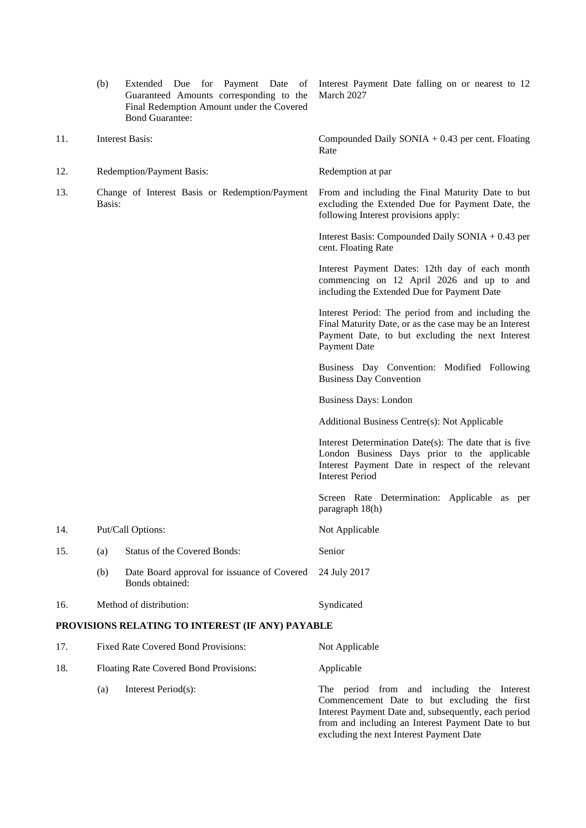|     | (b)    | Extended Due for Payment Date of<br>Guaranteed Amounts corresponding to the<br>Final Redemption Amount under the Covered<br><b>Bond Guarantee:</b> | Interest Payment Date falling on or nearest to 12<br>March 2027                                                                                                                     |
|-----|--------|----------------------------------------------------------------------------------------------------------------------------------------------------|-------------------------------------------------------------------------------------------------------------------------------------------------------------------------------------|
| 11. |        | <b>Interest Basis:</b>                                                                                                                             | Compounded Daily SONIA $+$ 0.43 per cent. Floating<br>Rate                                                                                                                          |
| 12. |        | Redemption/Payment Basis:                                                                                                                          | Redemption at par                                                                                                                                                                   |
| 13. | Basis: | Change of Interest Basis or Redemption/Payment                                                                                                     | From and including the Final Maturity Date to but<br>excluding the Extended Due for Payment Date, the<br>following Interest provisions apply:                                       |
|     |        |                                                                                                                                                    | Interest Basis: Compounded Daily SONIA + 0.43 per<br>cent. Floating Rate                                                                                                            |
|     |        |                                                                                                                                                    | Interest Payment Dates: 12th day of each month<br>commencing on 12 April 2026 and up to and<br>including the Extended Due for Payment Date                                          |
|     |        |                                                                                                                                                    | Interest Period: The period from and including the<br>Final Maturity Date, or as the case may be an Interest<br>Payment Date, to but excluding the next Interest<br>Payment Date    |
|     |        |                                                                                                                                                    | Business Day Convention: Modified Following<br><b>Business Day Convention</b>                                                                                                       |
|     |        |                                                                                                                                                    | <b>Business Days: London</b>                                                                                                                                                        |
|     |        |                                                                                                                                                    | Additional Business Centre(s): Not Applicable                                                                                                                                       |
|     |        |                                                                                                                                                    | Interest Determination Date(s): The date that is five<br>London Business Days prior to the applicable<br>Interest Payment Date in respect of the relevant<br><b>Interest Period</b> |
|     |        |                                                                                                                                                    | Screen Rate Determination: Applicable as per<br>paragraph 18(h)                                                                                                                     |
| 14. |        | Put/Call Options:                                                                                                                                  | Not Applicable                                                                                                                                                                      |
| 15. | (a)    | <b>Status of the Covered Bonds:</b>                                                                                                                | Senior                                                                                                                                                                              |
|     | (b)    | Date Board approval for issuance of Covered<br>Bonds obtained:                                                                                     | 24 July 2017                                                                                                                                                                        |
| 16. |        | Method of distribution:                                                                                                                            | Syndicated                                                                                                                                                                          |

# **PROVISIONS RELATING TO INTEREST (IF ANY) PAYABLE**

| 17. |     | <b>Fixed Rate Covered Bond Provisions:</b> | Not Applicable                                                                                                                                                                                                                                       |
|-----|-----|--------------------------------------------|------------------------------------------------------------------------------------------------------------------------------------------------------------------------------------------------------------------------------------------------------|
| 18. |     | Floating Rate Covered Bond Provisions:     | Applicable                                                                                                                                                                                                                                           |
|     | (a) | Interest Period(s):                        | The period from and including the Interest<br>Commencement Date to but excluding the first<br>Interest Payment Date and, subsequently, each period<br>from and including an Interest Payment Date to but<br>excluding the next Interest Payment Date |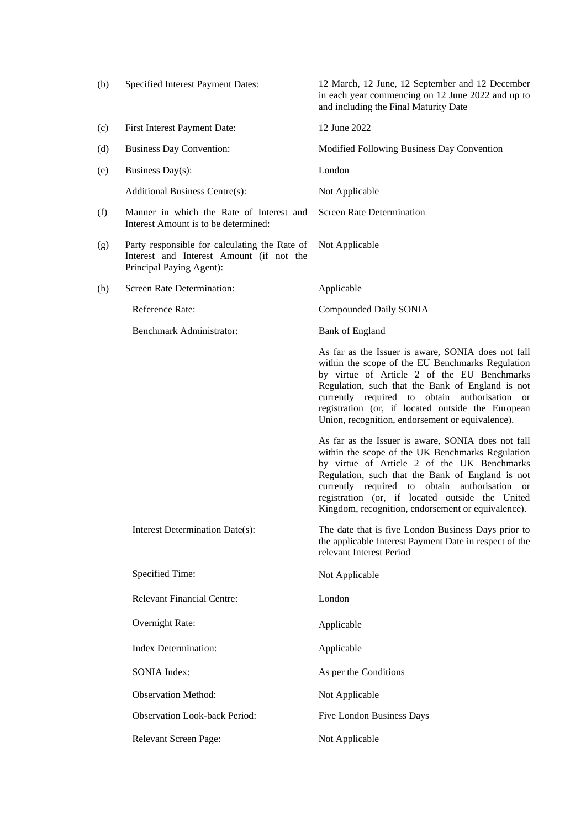| (b) | Specified Interest Payment Dates:                                                                                     | 12 March, 12 June, 12 September and 12 December<br>in each year commencing on 12 June 2022 and up to<br>and including the Final Maturity Date                                                                                                                                                                                                                       |
|-----|-----------------------------------------------------------------------------------------------------------------------|---------------------------------------------------------------------------------------------------------------------------------------------------------------------------------------------------------------------------------------------------------------------------------------------------------------------------------------------------------------------|
| (c) | First Interest Payment Date:                                                                                          | 12 June 2022                                                                                                                                                                                                                                                                                                                                                        |
| (d) | <b>Business Day Convention:</b>                                                                                       | Modified Following Business Day Convention                                                                                                                                                                                                                                                                                                                          |
| (e) | Business Day(s):                                                                                                      | London                                                                                                                                                                                                                                                                                                                                                              |
|     | <b>Additional Business Centre(s):</b>                                                                                 | Not Applicable                                                                                                                                                                                                                                                                                                                                                      |
| (f) | Manner in which the Rate of Interest and<br>Interest Amount is to be determined:                                      | <b>Screen Rate Determination</b>                                                                                                                                                                                                                                                                                                                                    |
| (g) | Party responsible for calculating the Rate of<br>Interest and Interest Amount (if not the<br>Principal Paying Agent): | Not Applicable                                                                                                                                                                                                                                                                                                                                                      |
| (h) | Screen Rate Determination:                                                                                            | Applicable                                                                                                                                                                                                                                                                                                                                                          |
|     | Reference Rate:                                                                                                       | Compounded Daily SONIA                                                                                                                                                                                                                                                                                                                                              |
|     | Benchmark Administrator:                                                                                              | <b>Bank of England</b>                                                                                                                                                                                                                                                                                                                                              |
|     |                                                                                                                       | As far as the Issuer is aware, SONIA does not fall<br>within the scope of the EU Benchmarks Regulation<br>by virtue of Article 2 of the EU Benchmarks<br>Regulation, such that the Bank of England is not<br>currently required to obtain authorisation or<br>registration (or, if located outside the European<br>Union, recognition, endorsement or equivalence). |
|     |                                                                                                                       | As far as the Issuer is aware, SONIA does not fall<br>within the scope of the UK Benchmarks Regulation<br>by virtue of Article 2 of the UK Benchmarks<br>Regulation, such that the Bank of England is not<br>currently required to obtain authorisation or<br>registration (or, if located outside the United<br>Kingdom, recognition, endorsement or equivalence). |
|     | Interest Determination Date(s):                                                                                       | The date that is five London Business Days prior to<br>the applicable Interest Payment Date in respect of the<br>relevant Interest Period                                                                                                                                                                                                                           |
|     | Specified Time:                                                                                                       | Not Applicable                                                                                                                                                                                                                                                                                                                                                      |
|     | <b>Relevant Financial Centre:</b>                                                                                     | London                                                                                                                                                                                                                                                                                                                                                              |
|     | Overnight Rate:                                                                                                       | Applicable                                                                                                                                                                                                                                                                                                                                                          |
|     | <b>Index Determination:</b>                                                                                           | Applicable                                                                                                                                                                                                                                                                                                                                                          |
|     | <b>SONIA Index:</b>                                                                                                   | As per the Conditions                                                                                                                                                                                                                                                                                                                                               |
|     | <b>Observation Method:</b>                                                                                            | Not Applicable                                                                                                                                                                                                                                                                                                                                                      |
|     | <b>Observation Look-back Period:</b>                                                                                  | <b>Five London Business Days</b>                                                                                                                                                                                                                                                                                                                                    |
|     | Relevant Screen Page:                                                                                                 | Not Applicable                                                                                                                                                                                                                                                                                                                                                      |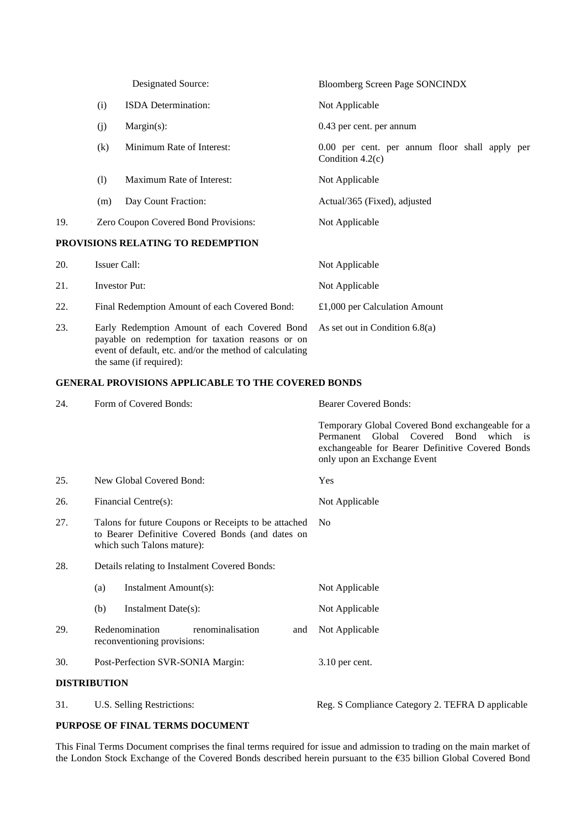|     |              | Designated Source:                                                                               | <b>Bloomberg Screen Page SONCINDX</b>                                |
|-----|--------------|--------------------------------------------------------------------------------------------------|----------------------------------------------------------------------|
|     | (i)          | <b>ISDA</b> Determination:                                                                       | Not Applicable                                                       |
|     | (j)          | $Margin(s)$ :                                                                                    | 0.43 per cent. per annum                                             |
|     | (k)          | Minimum Rate of Interest:                                                                        | 0.00 per cent. per annum floor shall apply per<br>Condition $4.2(c)$ |
|     | (1)          | Maximum Rate of Interest:                                                                        | Not Applicable                                                       |
|     | (m)          | Day Count Fraction:                                                                              | Actual/365 (Fixed), adjusted                                         |
| 19. |              | Zero Coupon Covered Bond Provisions:                                                             | Not Applicable                                                       |
|     |              | PROVISIONS RELATING TO REDEMPTION                                                                |                                                                      |
| 20. | Issuer Call: |                                                                                                  | Not Applicable                                                       |
| 21. |              | <b>Investor Put:</b>                                                                             | Not Applicable                                                       |
| 22. |              | Final Redemption Amount of each Covered Bond:                                                    | £1,000 per Calculation Amount                                        |
| 23. |              | Early Redemption Amount of each Covered Bond<br>payable on redemption for taxation reasons or on | As set out in Condition $6.8(a)$                                     |

# **GENERAL PROVISIONS APPLICABLE TO THE COVERED BONDS**

event of default, etc. and/or the method of calculating

the same (if required):

| 24. | Form of Covered Bonds:                                                                                                                 | <b>Bearer Covered Bonds:</b>                                                                                                                                                  |
|-----|----------------------------------------------------------------------------------------------------------------------------------------|-------------------------------------------------------------------------------------------------------------------------------------------------------------------------------|
|     |                                                                                                                                        | Temporary Global Covered Bond exchangeable for a<br>Permanent Global Covered Bond which is<br>exchangeable for Bearer Definitive Covered Bonds<br>only upon an Exchange Event |
| 25. | New Global Covered Bond:                                                                                                               | Yes                                                                                                                                                                           |
| 26. | Financial Centre(s):                                                                                                                   | Not Applicable                                                                                                                                                                |
| 27. | Talons for future Coupons or Receipts to be attached<br>to Bearer Definitive Covered Bonds (and dates on<br>which such Talons mature): | N <sub>o</sub>                                                                                                                                                                |
| 28. | Details relating to Instalment Covered Bonds:                                                                                          |                                                                                                                                                                               |
|     | Instalment Amount(s):<br>(a)                                                                                                           | Not Applicable                                                                                                                                                                |
|     | Instalment Date(s):<br>(b)                                                                                                             | Not Applicable                                                                                                                                                                |
| 29. | Redenomination<br>renominalisation<br>and<br>reconventioning provisions:                                                               | Not Applicable                                                                                                                                                                |
| 30. | Post-Perfection SVR-SONIA Margin:                                                                                                      | 3.10 per cent.                                                                                                                                                                |
|     | <b>DISTRIBUTION</b>                                                                                                                    |                                                                                                                                                                               |
| 31. | U.S. Selling Restrictions:                                                                                                             | Reg. S Compliance Category 2. TEFRA D applicable                                                                                                                              |

# **PURPOSE OF FINAL TERMS DOCUMENT**

This Final Terms Document comprises the final terms required for issue and admission to trading on the main market of the London Stock Exchange of the Covered Bonds described herein pursuant to the €35 billion Global Covered Bond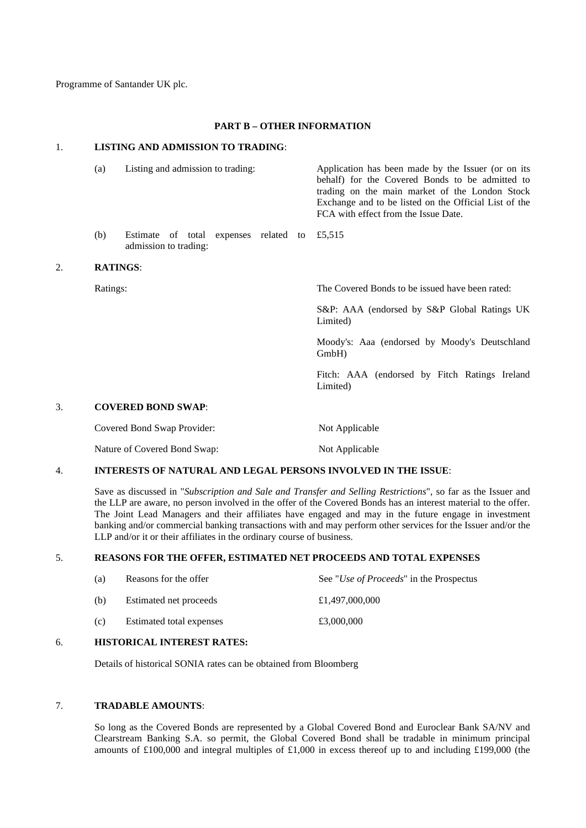Programme of Santander UK plc.

#### **PART B – OTHER INFORMATION**

### 1. **LISTING AND ADMISSION TO TRADING**:

|    | (a)             | Listing and admission to trading:                              | Application has been made by the Issuer (or on its<br>behalf) for the Covered Bonds to be admitted to<br>trading on the main market of the London Stock<br>Exchange and to be listed on the Official List of the<br>FCA with effect from the Issue Date. |
|----|-----------------|----------------------------------------------------------------|----------------------------------------------------------------------------------------------------------------------------------------------------------------------------------------------------------------------------------------------------------|
|    | (b)             | Estimate of total expenses related to<br>admission to trading: | £5,515                                                                                                                                                                                                                                                   |
| 2. | <b>RATINGS:</b> |                                                                |                                                                                                                                                                                                                                                          |
|    | Ratings:        |                                                                | The Covered Bonds to be issued have been rated:                                                                                                                                                                                                          |
|    |                 |                                                                | S&P: AAA (endorsed by S&P Global Ratings UK<br>Limited)                                                                                                                                                                                                  |
|    |                 |                                                                | Moody's: Aaa (endorsed by Moody's Deutschland<br>GmbH)                                                                                                                                                                                                   |
|    |                 |                                                                | Fitch: AAA (endorsed by Fitch Ratings Ireland<br>Limited)                                                                                                                                                                                                |
| 3. |                 | <b>COVERED BOND SWAP:</b>                                      |                                                                                                                                                                                                                                                          |
|    |                 | Covered Bond Swap Provider:                                    | Not Applicable                                                                                                                                                                                                                                           |
|    |                 | Nature of Covered Bond Swap:                                   | Not Applicable                                                                                                                                                                                                                                           |
|    |                 |                                                                |                                                                                                                                                                                                                                                          |

# 4. **INTERESTS OF NATURAL AND LEGAL PERSONS INVOLVED IN THE ISSUE**:

Save as discussed in "*Subscription and Sale and Transfer and Selling Restrictions*", so far as the Issuer and the LLP are aware, no person involved in the offer of the Covered Bonds has an interest material to the offer. The Joint Lead Managers and their affiliates have engaged and may in the future engage in investment banking and/or commercial banking transactions with and may perform other services for the Issuer and/or the LLP and/or it or their affiliates in the ordinary course of business.

# 5. **REASONS FOR THE OFFER, ESTIMATED NET PROCEEDS AND TOTAL EXPENSES**

| (a) | Reasons for the offer    | See " <i>Use of Proceeds</i> " in the Prospectus |
|-----|--------------------------|--------------------------------------------------|
| (b) | Estimated net proceeds   | £1,497,000,000                                   |
| (c) | Estimated total expenses | £3,000,000                                       |
|     |                          |                                                  |

# 6. **HISTORICAL INTEREST RATES:**

Details of historical SONIA rates can be obtained from Bloomberg

# 7. **TRADABLE AMOUNTS**:

So long as the Covered Bonds are represented by a Global Covered Bond and Euroclear Bank SA/NV and Clearstream Banking S.A. so permit, the Global Covered Bond shall be tradable in minimum principal amounts of £100,000 and integral multiples of £1,000 in excess thereof up to and including £199,000 (the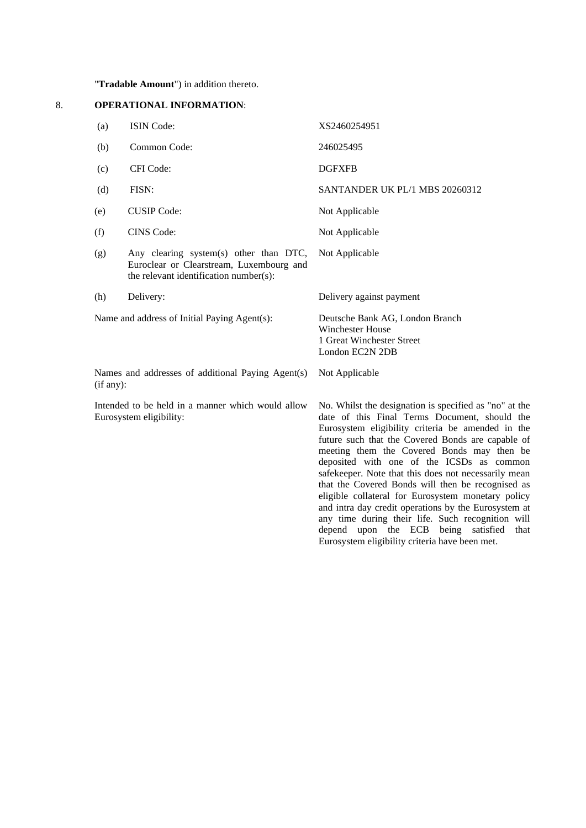"**Tradable Amount**") in addition thereto.

# 8. **OPERATIONAL INFORMATION**:

| (a)       | ISIN Code:                                                                                                                   | XS2460254951                                                                                                                                                                                                                                                                                                                                                                                                                                                                                                                                                                                                                                                                                  |
|-----------|------------------------------------------------------------------------------------------------------------------------------|-----------------------------------------------------------------------------------------------------------------------------------------------------------------------------------------------------------------------------------------------------------------------------------------------------------------------------------------------------------------------------------------------------------------------------------------------------------------------------------------------------------------------------------------------------------------------------------------------------------------------------------------------------------------------------------------------|
| (b)       | Common Code:                                                                                                                 | 246025495                                                                                                                                                                                                                                                                                                                                                                                                                                                                                                                                                                                                                                                                                     |
| (c)       | CFI Code:                                                                                                                    | <b>DGFXFB</b>                                                                                                                                                                                                                                                                                                                                                                                                                                                                                                                                                                                                                                                                                 |
| (d)       | FISN:                                                                                                                        | SANTANDER UK PL/1 MBS 20260312                                                                                                                                                                                                                                                                                                                                                                                                                                                                                                                                                                                                                                                                |
| (e)       | <b>CUSIP</b> Code:                                                                                                           | Not Applicable                                                                                                                                                                                                                                                                                                                                                                                                                                                                                                                                                                                                                                                                                |
| (f)       | <b>CINS</b> Code:                                                                                                            | Not Applicable                                                                                                                                                                                                                                                                                                                                                                                                                                                                                                                                                                                                                                                                                |
| (g)       | Any clearing system(s) other than DTC,<br>Euroclear or Clearstream, Luxembourg and<br>the relevant identification number(s): | Not Applicable                                                                                                                                                                                                                                                                                                                                                                                                                                                                                                                                                                                                                                                                                |
| (h)       | Delivery:                                                                                                                    | Delivery against payment                                                                                                                                                                                                                                                                                                                                                                                                                                                                                                                                                                                                                                                                      |
|           | Name and address of Initial Paying Agent(s):                                                                                 | Deutsche Bank AG, London Branch<br><b>Winchester House</b><br>1 Great Winchester Street<br>London EC2N 2DB                                                                                                                                                                                                                                                                                                                                                                                                                                                                                                                                                                                    |
| (if any): | Names and addresses of additional Paying Agent(s)                                                                            | Not Applicable                                                                                                                                                                                                                                                                                                                                                                                                                                                                                                                                                                                                                                                                                |
|           | Intended to be held in a manner which would allow<br>Eurosystem eligibility:                                                 | No. Whilst the designation is specified as "no" at the<br>date of this Final Terms Document, should the<br>Eurosystem eligibility criteria be amended in the<br>future such that the Covered Bonds are capable of<br>meeting them the Covered Bonds may then be<br>deposited with one of the ICSDs as common<br>safekeeper. Note that this does not necessarily mean<br>that the Covered Bonds will then be recognised as<br>eligible collateral for Eurosystem monetary policy<br>and intra day credit operations by the Eurosystem at<br>any time during their life. Such recognition will<br>depend upon the ECB being satisfied<br>that<br>Eurosystem eligibility criteria have been met. |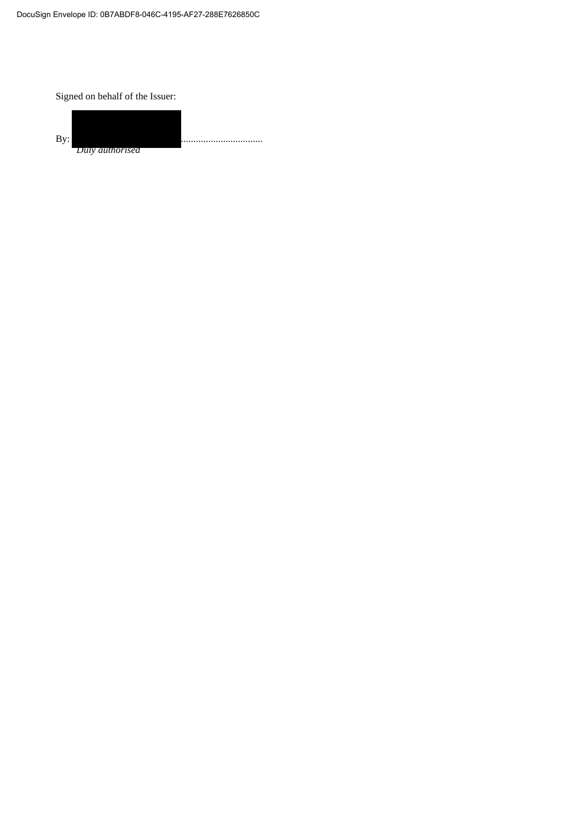Signed on behalf of the Issuer: